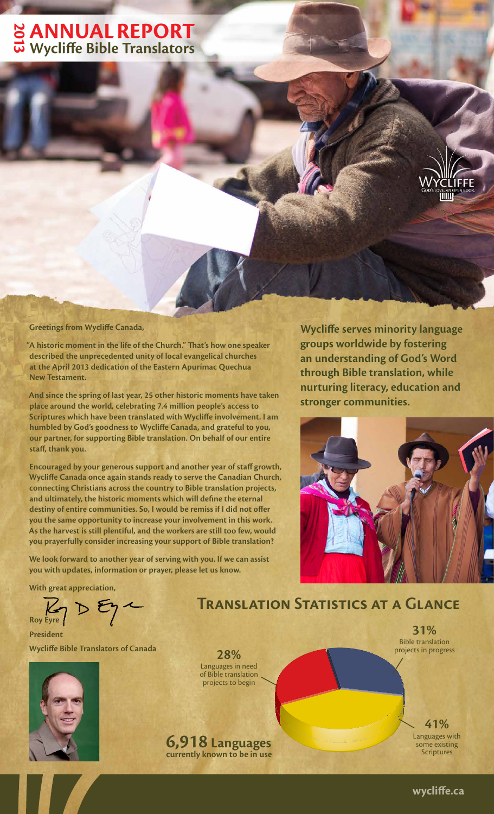### **AnnuAl RepoRt WAL REPORT**<br>20 Wycliffe Bible Translators

**Greetings from Wycliffe Canada,**

**"A historic moment in the life of the Church." That's how one speaker described the unprecedented unity of local evangelical churches at the April 2013 dedication of the Eastern Apurímac Quechua New Testament.**

**And since the spring of last year, 25 other historic moments have taken place around the world, celebrating 7.4 million people's access to Scriptures which have been translated with Wycliffe involvement. I am humbled by God's goodness to Wycliffe Canada, and grateful to you, our partner, for supporting Bible translation. On behalf of our entire staff, thank you.**

**Encouraged by your generous support and another year of staff growth, Wycliffe Canada once again stands ready to serve the Canadian Church, connecting Christians across the country to Bible translation projects, and ultimately, the historic moments which will define the eternal destiny of entire communities. So, I would be remiss if I did not offer you the same opportunity to increase your involvement in this work. As the harvest is still plentiful, and the workers are still too few, would you prayerfully consider increasing your support of Bible translation?**

**We look forward to another year of serving with you. If we can assist you with updates, information or prayer, please let us know.**

**With great appreciation,**

Roy Eye 2

#### **President Wycliffe Bible Translators of Canada**



**28%** Languages in need of Bible translation projects to begin

### **6,918 Languages currently known to be in use**

**Wycliffe serves minority language groups worldwide by fostering an understanding of God's Word through Bible translation, while nurturing literacy, education and stronger communities.**



**Translation Statistics at a Glance**

#### **31%** Bible translation projects in progress

**41%** Languages with some existing **Scriptures**